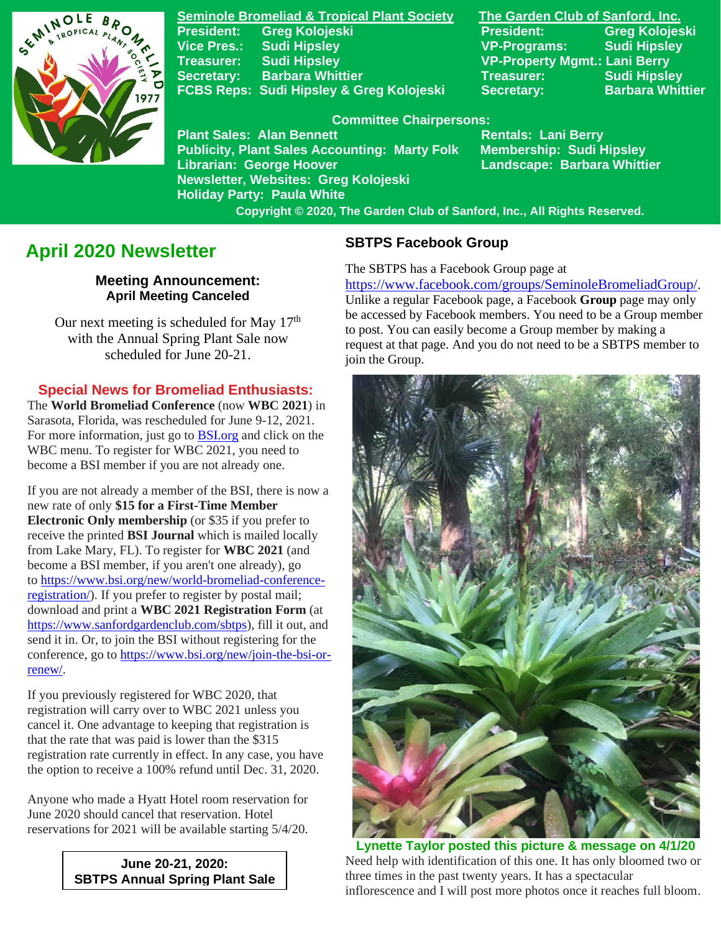

**Seminole Bromeliad & Tropical Plant Society The Garden Club of Sanford, Inc. Vice Pres.: Sudi Hipsley VP-Programs: Sudi Hipsley Treasurer: Sudi Hipsley VP-Property Mgmt.: Lani Berry Secretary:** Barbara Whittier **Network Treasurer:** Sudi Hipsley **FCBS Reps: Sudi Hipsley & Greg Kolojeski Secretary: Barbara Whittier** 

**Publicity, Plant Sales Accounting: Marty Folk** 

**Newsletter, Websites: Greg Kolojeski**

**President: Greg Kolojeski President: Greg Kolojeski** 

#### **Committee Chairpersons:**

Plant Sales: Alan Bennett<br>Publicity, Plant Sales Accounting: Marty Folk Membership: Sudi Hipsley **Librarian: George Hoover Landscape: Barbara Whittier**

**Holiday Party: Paula White Copyright © 2020, The Garden Club of Sanford, Inc., All Rights Reserved.**

## **April 2020 Newsletter**

#### **Meeting Announcement: April Meeting Canceled**

Our next meeting is scheduled for May  $17<sup>th</sup>$ with the Annual Spring Plant Sale now scheduled for June 20-21.

## **Special News for Bromeliad Enthusiasts:**

The **World Bromeliad Conference** (now **WBC 2021**) in Sarasota, Florida, was rescheduled for June 9-12, 2021. For more information, just go to [BSI.org](https://www.bsi.org/) and click on the WBC menu. To register for WBC 2021, you need to become a BSI member if you are not already one.

If you are not already a member of the BSI, there is now a new rate of only **\$15 for a First-Time Member Electronic Only membership** (or \$35 if you prefer to receive the printed **BSI Journal** which is mailed locally from Lake Mary, FL). To register for **WBC 2021** (and become a BSI member, if you aren't one already), go to [https://www.bsi.org/new/world-bromeliad-conference](https://www.bsi.org/new/world-bromeliad-conference-registration/)[registration/\)](https://www.bsi.org/new/world-bromeliad-conference-registration/). If you prefer to register by postal mail; download and print a **WBC 2021 Registration Form** (at [https://www.sanfordgardenclub.com/sbtps\)](https://www.sanfordgardenclub.com/sbtps), fill it out, and send it in. Or, to join the BSI without registering for the conference, go to [https://www.bsi.org/new/join-the-bsi-or](https://www.bsi.org/new/join-the-bsi-or-renew/)[renew/.](https://www.bsi.org/new/join-the-bsi-or-renew/)

If you previously registered for WBC 2020, that registration will carry over to WBC 2021 unless you cancel it. One advantage to keeping that registration is that the rate that was paid is lower than the \$315 registration rate currently in effect. In any case, you have the option to receive a 100% refund until Dec. 31, 2020.

Anyone who made a Hyatt Hotel room reservation for June 2020 should cancel that reservation. Hotel reservations for 2021 will be available starting 5/4/20.

> **June 20-21, 2020: SBTPS Annual Spring Plant Sale**

#### **SBTPS Facebook Group**

The SBTPS has a Facebook Group page at

<https://www.facebook.com/groups/SeminoleBromeliadGroup/>. Unlike a regular Facebook page, a Facebook **Group** page may only be accessed by Facebook members. You need to be a Group member to post. You can easily become a Group member by making a request at that page. And you do not need to be a SBTPS member to join the Group.



 **Lynette Taylor posted this picture & message on 4/1/20** Need help with identification of this one. It has only bloomed two or three times in the past twenty years. It has a spectacular inflorescence and I will post more photos once it reaches full bloom.